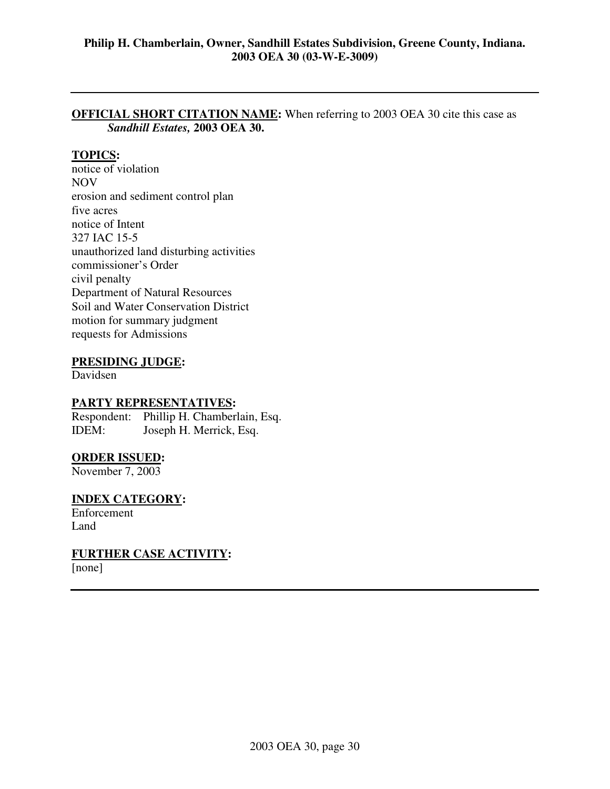### **OFFICIAL SHORT CITATION NAME:** When referring to 2003 OEA 30 cite this case as *Sandhill Estates,* **2003 OEA 30.**

# **TOPICS:**

notice of violation NOV erosion and sediment control plan five acres notice of Intent 327 IAC 15-5 unauthorized land disturbing activities commissioner's Order civil penalty Department of Natural Resources Soil and Water Conservation District motion for summary judgment requests for Admissions

### **PRESIDING JUDGE:**

Davidsen

### **PARTY REPRESENTATIVES:**

Respondent: Phillip H. Chamberlain, Esq. IDEM: Joseph H. Merrick, Esq.

### **ORDER ISSUED:**

November 7, 2003

### **INDEX CATEGORY:**

Enforcement Land

### **FURTHER CASE ACTIVITY:**

[none]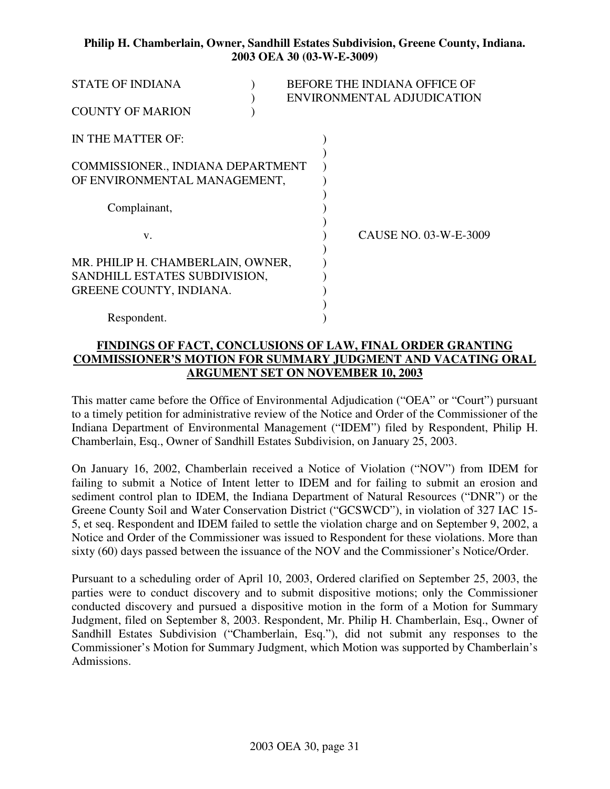| <b>STATE OF INDIANA</b>           |  | BEFORE THE INDIANA OFFICE OF |
|-----------------------------------|--|------------------------------|
|                                   |  | ENVIRONMENTAL ADJUDICATION   |
| <b>COUNTY OF MARION</b>           |  |                              |
| IN THE MATTER OF:                 |  |                              |
|                                   |  |                              |
| COMMISSIONER., INDIANA DEPARTMENT |  |                              |
| OF ENVIRONMENTAL MANAGEMENT,      |  |                              |
|                                   |  |                              |
| Complainant,                      |  |                              |
|                                   |  |                              |
| V.                                |  | CAUSE NO. 03-W-E-3009        |
|                                   |  |                              |
| MR. PHILIP H. CHAMBERLAIN, OWNER, |  |                              |
| SANDHILL ESTATES SUBDIVISION,     |  |                              |
| GREENE COUNTY, INDIANA.           |  |                              |
|                                   |  |                              |
| Respondent.                       |  |                              |

# **FINDINGS OF FACT, CONCLUSIONS OF LAW, FINAL ORDER GRANTING COMMISSIONER'S MOTION FOR SUMMARY JUDGMENT AND VACATING ORAL ARGUMENT SET ON NOVEMBER 10, 2003**

This matter came before the Office of Environmental Adjudication ("OEA" or "Court") pursuant to a timely petition for administrative review of the Notice and Order of the Commissioner of the Indiana Department of Environmental Management ("IDEM") filed by Respondent, Philip H. Chamberlain, Esq., Owner of Sandhill Estates Subdivision, on January 25, 2003.

On January 16, 2002, Chamberlain received a Notice of Violation ("NOV") from IDEM for failing to submit a Notice of Intent letter to IDEM and for failing to submit an erosion and sediment control plan to IDEM, the Indiana Department of Natural Resources ("DNR") or the Greene County Soil and Water Conservation District ("GCSWCD"), in violation of 327 IAC 15- 5, et seq. Respondent and IDEM failed to settle the violation charge and on September 9, 2002, a Notice and Order of the Commissioner was issued to Respondent for these violations. More than sixty (60) days passed between the issuance of the NOV and the Commissioner's Notice/Order.

Pursuant to a scheduling order of April 10, 2003, Ordered clarified on September 25, 2003, the parties were to conduct discovery and to submit dispositive motions; only the Commissioner conducted discovery and pursued a dispositive motion in the form of a Motion for Summary Judgment, filed on September 8, 2003. Respondent, Mr. Philip H. Chamberlain, Esq., Owner of Sandhill Estates Subdivision ("Chamberlain, Esq."), did not submit any responses to the Commissioner's Motion for Summary Judgment, which Motion was supported by Chamberlain's Admissions.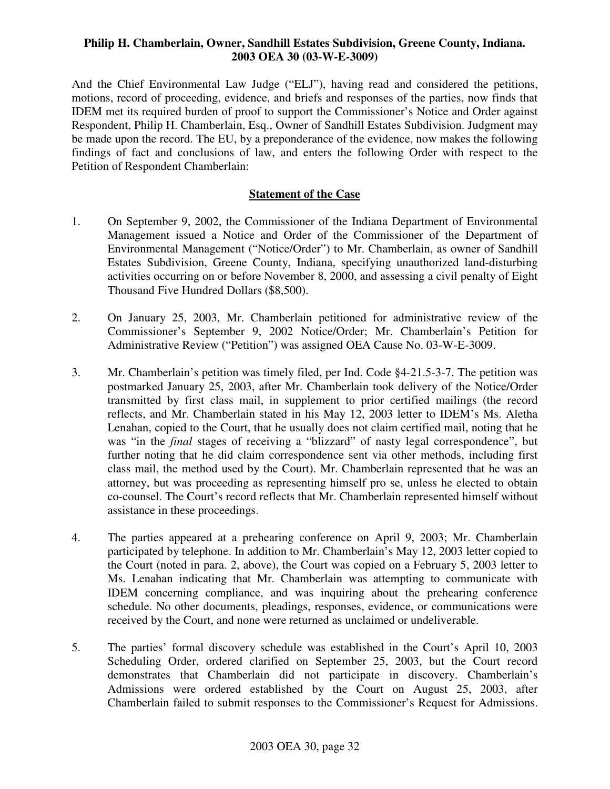And the Chief Environmental Law Judge ("ELJ"), having read and considered the petitions, motions, record of proceeding, evidence, and briefs and responses of the parties, now finds that IDEM met its required burden of proof to support the Commissioner's Notice and Order against Respondent, Philip H. Chamberlain, Esq., Owner of Sandhill Estates Subdivision. Judgment may be made upon the record. The EU, by a preponderance of the evidence, now makes the following findings of fact and conclusions of law, and enters the following Order with respect to the Petition of Respondent Chamberlain:

# **Statement of the Case**

- 1. On September 9, 2002, the Commissioner of the Indiana Department of Environmental Management issued a Notice and Order of the Commissioner of the Department of Environmental Management ("Notice/Order") to Mr. Chamberlain, as owner of Sandhill Estates Subdivision, Greene County, Indiana, specifying unauthorized land-disturbing activities occurring on or before November 8, 2000, and assessing a civil penalty of Eight Thousand Five Hundred Dollars (\$8,500).
- 2. On January 25, 2003, Mr. Chamberlain petitioned for administrative review of the Commissioner's September 9, 2002 Notice/Order; Mr. Chamberlain's Petition for Administrative Review ("Petition") was assigned OEA Cause No. 03-W-E-3009.
- 3. Mr. Chamberlain's petition was timely filed, per Ind. Code §4-21.5-3-7. The petition was postmarked January 25, 2003, after Mr. Chamberlain took delivery of the Notice/Order transmitted by first class mail, in supplement to prior certified mailings (the record reflects, and Mr. Chamberlain stated in his May 12, 2003 letter to IDEM's Ms. Aletha Lenahan, copied to the Court, that he usually does not claim certified mail, noting that he was "in the *final* stages of receiving a "blizzard" of nasty legal correspondence", but further noting that he did claim correspondence sent via other methods, including first class mail, the method used by the Court). Mr. Chamberlain represented that he was an attorney, but was proceeding as representing himself pro se, unless he elected to obtain co-counsel. The Court's record reflects that Mr. Chamberlain represented himself without assistance in these proceedings.
- 4. The parties appeared at a prehearing conference on April 9, 2003; Mr. Chamberlain participated by telephone. In addition to Mr. Chamberlain's May 12, 2003 letter copied to the Court (noted in para. 2, above), the Court was copied on a February 5, 2003 letter to Ms. Lenahan indicating that Mr. Chamberlain was attempting to communicate with IDEM concerning compliance, and was inquiring about the prehearing conference schedule. No other documents, pleadings, responses, evidence, or communications were received by the Court, and none were returned as unclaimed or undeliverable.
- 5. The parties' formal discovery schedule was established in the Court's April 10, 2003 Scheduling Order, ordered clarified on September 25, 2003, but the Court record demonstrates that Chamberlain did not participate in discovery. Chamberlain's Admissions were ordered established by the Court on August 25, 2003, after Chamberlain failed to submit responses to the Commissioner's Request for Admissions.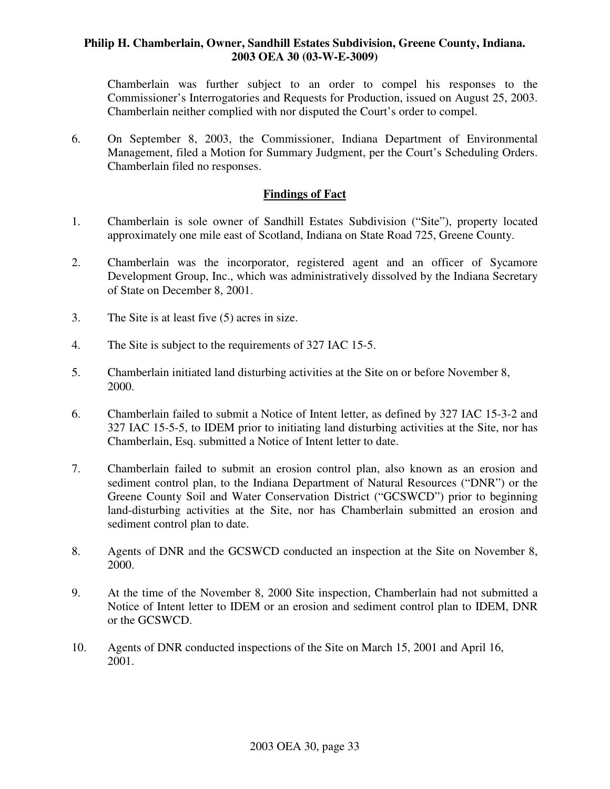Chamberlain was further subject to an order to compel his responses to the Commissioner's Interrogatories and Requests for Production, issued on August 25, 2003. Chamberlain neither complied with nor disputed the Court's order to compel.

6. On September 8, 2003, the Commissioner, Indiana Department of Environmental Management, filed a Motion for Summary Judgment, per the Court's Scheduling Orders. Chamberlain filed no responses.

### **Findings of Fact**

- 1. Chamberlain is sole owner of Sandhill Estates Subdivision ("Site"), property located approximately one mile east of Scotland, Indiana on State Road 725, Greene County.
- 2. Chamberlain was the incorporator, registered agent and an officer of Sycamore Development Group, Inc., which was administratively dissolved by the Indiana Secretary of State on December 8, 2001.
- 3. The Site is at least five (5) acres in size.
- 4. The Site is subject to the requirements of 327 IAC 15-5.
- 5. Chamberlain initiated land disturbing activities at the Site on or before November 8, 2000.
- 6. Chamberlain failed to submit a Notice of Intent letter, as defined by 327 IAC 15-3-2 and 327 IAC 15-5-5, to IDEM prior to initiating land disturbing activities at the Site, nor has Chamberlain, Esq. submitted a Notice of Intent letter to date.
- 7. Chamberlain failed to submit an erosion control plan, also known as an erosion and sediment control plan, to the Indiana Department of Natural Resources ("DNR") or the Greene County Soil and Water Conservation District ("GCSWCD") prior to beginning land-disturbing activities at the Site, nor has Chamberlain submitted an erosion and sediment control plan to date.
- 8. Agents of DNR and the GCSWCD conducted an inspection at the Site on November 8, 2000.
- 9. At the time of the November 8, 2000 Site inspection, Chamberlain had not submitted a Notice of Intent letter to IDEM or an erosion and sediment control plan to IDEM, DNR or the GCSWCD.
- 10. Agents of DNR conducted inspections of the Site on March 15, 2001 and April 16, 2001.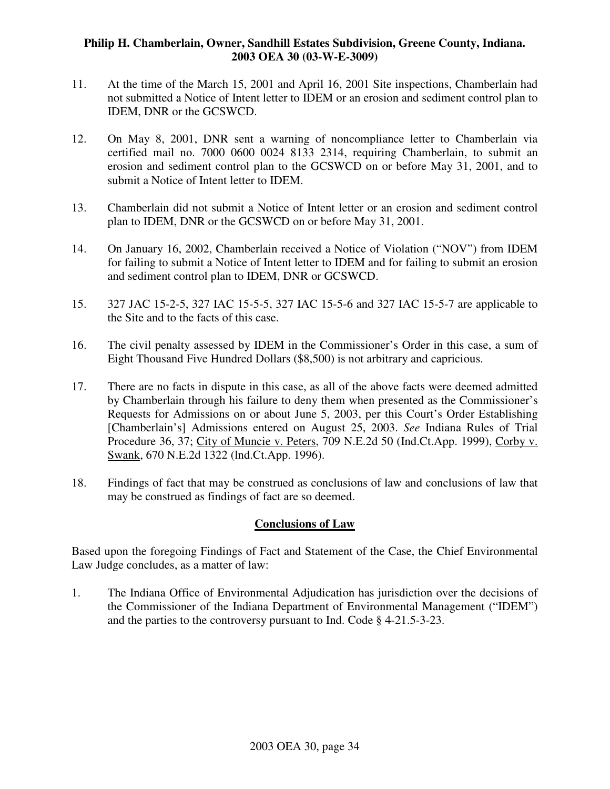- 11. At the time of the March 15, 2001 and April 16, 2001 Site inspections, Chamberlain had not submitted a Notice of Intent letter to IDEM or an erosion and sediment control plan to IDEM, DNR or the GCSWCD.
- 12. On May 8, 2001, DNR sent a warning of noncompliance letter to Chamberlain via certified mail no. 7000 0600 0024 8133 2314, requiring Chamberlain, to submit an erosion and sediment control plan to the GCSWCD on or before May 31, 2001, and to submit a Notice of Intent letter to IDEM.
- 13. Chamberlain did not submit a Notice of Intent letter or an erosion and sediment control plan to IDEM, DNR or the GCSWCD on or before May 31, 2001.
- 14. On January 16, 2002, Chamberlain received a Notice of Violation ("NOV") from IDEM for failing to submit a Notice of Intent letter to IDEM and for failing to submit an erosion and sediment control plan to IDEM, DNR or GCSWCD.
- 15. 327 JAC 15-2-5, 327 IAC 15-5-5, 327 IAC 15-5-6 and 327 IAC 15-5-7 are applicable to the Site and to the facts of this case.
- 16. The civil penalty assessed by IDEM in the Commissioner's Order in this case, a sum of Eight Thousand Five Hundred Dollars (\$8,500) is not arbitrary and capricious.
- 17. There are no facts in dispute in this case, as all of the above facts were deemed admitted by Chamberlain through his failure to deny them when presented as the Commissioner's Requests for Admissions on or about June 5, 2003, per this Court's Order Establishing [Chamberlain's] Admissions entered on August 25, 2003. *See* Indiana Rules of Trial Procedure 36, 37; City of Muncie v. Peters, 709 N.E.2d 50 (Ind.Ct.App. 1999), Corby v. Swank, 670 N.E.2d 1322 (lnd.Ct.App. 1996).
- 18. Findings of fact that may be construed as conclusions of law and conclusions of law that may be construed as findings of fact are so deemed.

### **Conclusions of Law**

Based upon the foregoing Findings of Fact and Statement of the Case, the Chief Environmental Law Judge concludes, as a matter of law:

1. The Indiana Office of Environmental Adjudication has jurisdiction over the decisions of the Commissioner of the Indiana Department of Environmental Management ("IDEM") and the parties to the controversy pursuant to Ind. Code § 4-21.5-3-23.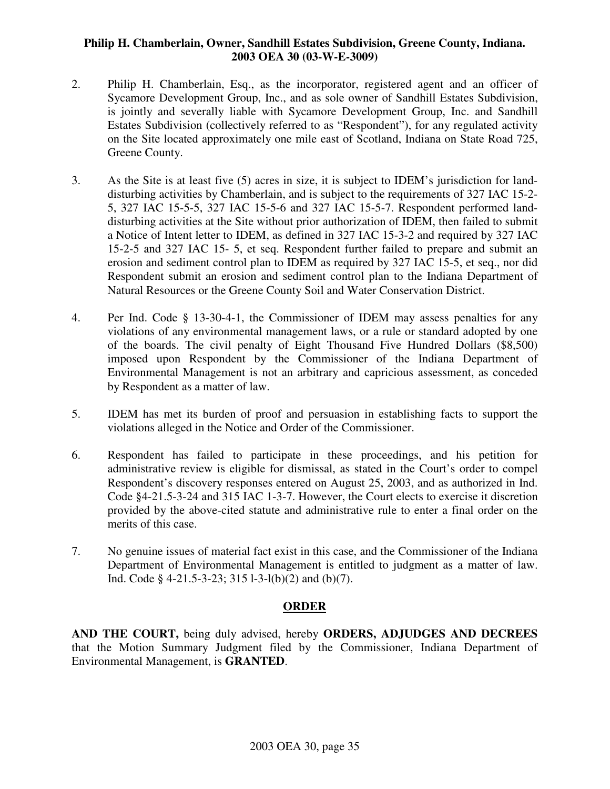- 2. Philip H. Chamberlain, Esq., as the incorporator, registered agent and an officer of Sycamore Development Group, Inc., and as sole owner of Sandhill Estates Subdivision, is jointly and severally liable with Sycamore Development Group, Inc. and Sandhill Estates Subdivision (collectively referred to as "Respondent"), for any regulated activity on the Site located approximately one mile east of Scotland, Indiana on State Road 725, Greene County.
- 3. As the Site is at least five (5) acres in size, it is subject to IDEM's jurisdiction for landdisturbing activities by Chamberlain, and is subject to the requirements of 327 IAC 15-2- 5, 327 IAC 15-5-5, 327 IAC 15-5-6 and 327 IAC 15-5-7. Respondent performed landdisturbing activities at the Site without prior authorization of IDEM, then failed to submit a Notice of Intent letter to IDEM, as defined in 327 IAC 15-3-2 and required by 327 IAC 15-2-5 and 327 IAC 15- 5, et seq. Respondent further failed to prepare and submit an erosion and sediment control plan to IDEM as required by 327 IAC 15-5, et seq., nor did Respondent submit an erosion and sediment control plan to the Indiana Department of Natural Resources or the Greene County Soil and Water Conservation District.
- 4. Per Ind. Code § 13-30-4-1, the Commissioner of IDEM may assess penalties for any violations of any environmental management laws, or a rule or standard adopted by one of the boards. The civil penalty of Eight Thousand Five Hundred Dollars (\$8,500) imposed upon Respondent by the Commissioner of the Indiana Department of Environmental Management is not an arbitrary and capricious assessment, as conceded by Respondent as a matter of law.
- 5. IDEM has met its burden of proof and persuasion in establishing facts to support the violations alleged in the Notice and Order of the Commissioner.
- 6. Respondent has failed to participate in these proceedings, and his petition for administrative review is eligible for dismissal, as stated in the Court's order to compel Respondent's discovery responses entered on August 25, 2003, and as authorized in Ind. Code §4-21.5-3-24 and 315 IAC 1-3-7. However, the Court elects to exercise it discretion provided by the above-cited statute and administrative rule to enter a final order on the merits of this case.
- 7. No genuine issues of material fact exist in this case, and the Commissioner of the Indiana Department of Environmental Management is entitled to judgment as a matter of law. Ind. Code § 4-21.5-3-23; 315 l-3-l(b)(2) and (b)(7).

# **ORDER**

**AND THE COURT,** being duly advised, hereby **ORDERS, ADJUDGES AND DECREES** that the Motion Summary Judgment filed by the Commissioner, Indiana Department of Environmental Management, is **GRANTED**.